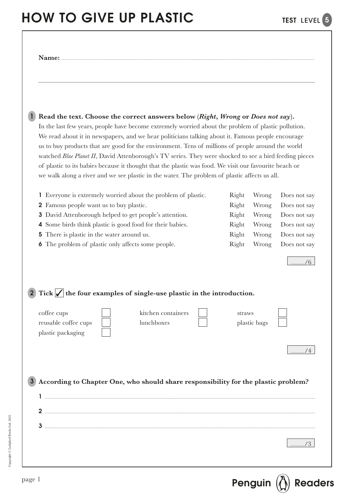### HOW TO GIVE UP PLASTIC TEST LEVEL 5

| Read the text. Choose the correct answers below (Right, Wrong or Does not say).<br>In the last few years, people have become extremely worried about the problem of plastic pollution.<br>We read about it in newspapers, and we hear politicians talking about it. Famous people encourage<br>us to buy products that are good for the environment. Tens of millions of people around the world<br>watched Blue Planet II, David Attenborough's TV series. They were shocked to see a bird feeding pieces<br>of plastic to its babies because it thought that the plastic was food. We visit our favourite beach or<br>we walk along a river and we see plastic in the water. The problem of plastic affects us all. |                                                    |                                                    |                                                                                              |
|-----------------------------------------------------------------------------------------------------------------------------------------------------------------------------------------------------------------------------------------------------------------------------------------------------------------------------------------------------------------------------------------------------------------------------------------------------------------------------------------------------------------------------------------------------------------------------------------------------------------------------------------------------------------------------------------------------------------------|----------------------------------------------------|----------------------------------------------------|----------------------------------------------------------------------------------------------|
| 1 Everyone is extremely worried about the problem of plastic.<br>2 Famous people want us to buy plastic.<br><b>3</b> David Attenborough helped to get people's attention.<br>Some birds think plastic is good food for their babies.<br>4<br>There is plastic in the water around us.<br>5<br>The problem of plastic only affects some people.<br>6                                                                                                                                                                                                                                                                                                                                                                   | Right<br>Right<br>Right<br>Right<br>Right<br>Right | Wrong<br>Wrong<br>Wrong<br>Wrong<br>Wrong<br>Wrong | Does not say<br>Does not say<br>Does not say<br>Does not say<br>Does not say<br>Does not say |
| 2 Tick $\sqrt{\ }$ the four examples of single-use plastic in the introduction.                                                                                                                                                                                                                                                                                                                                                                                                                                                                                                                                                                                                                                       |                                                    |                                                    |                                                                                              |
| kitchen containers<br>coffee cups<br>reusable coffee cups<br>lunchboxes<br>plastic packaging                                                                                                                                                                                                                                                                                                                                                                                                                                                                                                                                                                                                                          | straws                                             | plastic bags                                       |                                                                                              |
| According to Chapter One, who should share responsibility for the plastic problem?                                                                                                                                                                                                                                                                                                                                                                                                                                                                                                                                                                                                                                    |                                                    |                                                    |                                                                                              |
|                                                                                                                                                                                                                                                                                                                                                                                                                                                                                                                                                                                                                                                                                                                       |                                                    |                                                    |                                                                                              |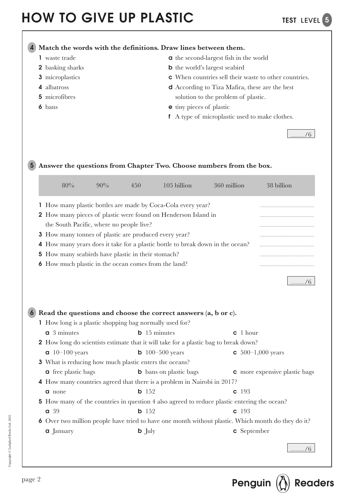$1/6$ 

**Match the words with the definitions. Draw lines between them.**  4

- 1 waste trade
- 2 basking sharks
- 3 microplastics
- 4 albatross
- 5 microfibres
- 6 bans
- - a the second-largest fish in the world
	- b the world's largest seabird
	- c When countries sell their waste to other countries.
	- d According to Tiza Mafira, these are the best solution to the problem of plastic.
	- e tiny pieces of plastic
	- f A type of microplastic used to make clothes.

**Answer the questions from Chapter Two. Choose numbers from the box.** 5

| 80%                                                           | 90% | 450               | $105$ billion                                                                  | 360 million                                                                                 | 38 billion                                                                                         |
|---------------------------------------------------------------|-----|-------------------|--------------------------------------------------------------------------------|---------------------------------------------------------------------------------------------|----------------------------------------------------------------------------------------------------|
|                                                               |     |                   | 1 How many plastic bottles are made by Coca-Cola every year?                   |                                                                                             |                                                                                                    |
|                                                               |     |                   | 2 How many pieces of plastic were found on Henderson Island in                 |                                                                                             |                                                                                                    |
| the South Pacific, where no people live?                      |     |                   |                                                                                |                                                                                             |                                                                                                    |
| <b>3</b> How many tonnes of plastic are produced every year?  |     |                   |                                                                                |                                                                                             |                                                                                                    |
|                                                               |     |                   | 4 How many years does it take for a plastic bottle to break down in the ocean? |                                                                                             |                                                                                                    |
| 5 How many seabirds have plastic in their stomach?            |     |                   |                                                                                |                                                                                             |                                                                                                    |
| <b>6</b> How much plastic in the ocean comes from the land?   |     |                   |                                                                                |                                                                                             |                                                                                                    |
|                                                               |     |                   |                                                                                |                                                                                             | /6                                                                                                 |
| 1 How long is a plastic shopping bag normally used for?       |     |                   | Read the questions and choose the correct answers (a, b or c).                 |                                                                                             |                                                                                                    |
| $a3$ minutes                                                  |     |                   | $b$ 15 minutes                                                                 | c 1 hour                                                                                    |                                                                                                    |
|                                                               |     |                   |                                                                                | <b>2</b> How long do scientists estimate that it will take for a plastic bag to break down? |                                                                                                    |
| $10-100$ years                                                |     |                   | <b>b</b> 100–500 years                                                         |                                                                                             | $\epsilon$ 500–1,000 years                                                                         |
| <b>3</b> What is reducing how much plastic enters the oceans? |     |                   |                                                                                |                                                                                             |                                                                                                    |
| <b>a</b> free plastic bags                                    |     |                   | <b>b</b> bans on plastic bags                                                  |                                                                                             | <b>c</b> more expensive plastic bags                                                               |
|                                                               |     |                   | 4 How many countries agreed that there is a problem in Nairobi in 2017?        |                                                                                             |                                                                                                    |
| <b>a</b> none                                                 |     | $b$ 152           |                                                                                | $c$ 193                                                                                     |                                                                                                    |
|                                                               |     |                   |                                                                                | 5 How many of the countries in question 4 also agreed to reduce plastic entering the ocean? |                                                                                                    |
| a 39                                                          |     | $b$ 152           |                                                                                | $c$ 193                                                                                     |                                                                                                    |
|                                                               |     |                   |                                                                                |                                                                                             | 6 Over two million people have tried to have one month without plastic. Which month do they do it? |
| <b>a</b> January                                              |     | $\mathbf{b}$ July |                                                                                | c September                                                                                 |                                                                                                    |
|                                                               |     |                   |                                                                                |                                                                                             | $rac{1}{2}$ /6                                                                                     |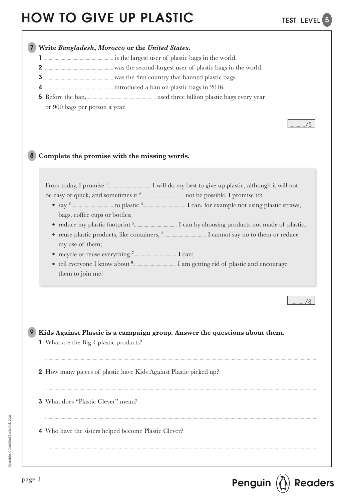

 $p_{\text{age 3}}$  Penguin  $\left(\bigoplus\limits_{\alpha\in\mathbb{N}}\right)$  Readers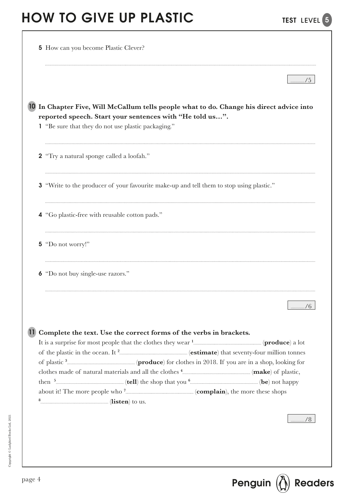| 10 In Chapter Five, Will McCallum tells people what to do. Change his direct advice into<br>reported speech. Start your sentences with "He told us".<br>1 "Be sure that they do not use plastic packaging."<br>2 "Try a natural sponge called a loofah."<br><b>3</b> "Write to the producer of your favourite make-up and tell them to stop using plastic."<br>4 "Go plastic-free with reusable cotton pads."<br>5 "Do not worry!"<br>6 "Do not buy single-use razors."<br>/ 0<br>11 Complete the text. Use the correct forms of the verbs in brackets. | 5 How can you become Plastic Clever? |
|---------------------------------------------------------------------------------------------------------------------------------------------------------------------------------------------------------------------------------------------------------------------------------------------------------------------------------------------------------------------------------------------------------------------------------------------------------------------------------------------------------------------------------------------------------|--------------------------------------|
|                                                                                                                                                                                                                                                                                                                                                                                                                                                                                                                                                         |                                      |
|                                                                                                                                                                                                                                                                                                                                                                                                                                                                                                                                                         |                                      |
|                                                                                                                                                                                                                                                                                                                                                                                                                                                                                                                                                         |                                      |
|                                                                                                                                                                                                                                                                                                                                                                                                                                                                                                                                                         |                                      |
|                                                                                                                                                                                                                                                                                                                                                                                                                                                                                                                                                         |                                      |
|                                                                                                                                                                                                                                                                                                                                                                                                                                                                                                                                                         |                                      |
|                                                                                                                                                                                                                                                                                                                                                                                                                                                                                                                                                         |                                      |
|                                                                                                                                                                                                                                                                                                                                                                                                                                                                                                                                                         |                                      |
|                                                                                                                                                                                                                                                                                                                                                                                                                                                                                                                                                         |                                      |
|                                                                                                                                                                                                                                                                                                                                                                                                                                                                                                                                                         |                                      |
|                                                                                                                                                                                                                                                                                                                                                                                                                                                                                                                                                         |                                      |
|                                                                                                                                                                                                                                                                                                                                                                                                                                                                                                                                                         |                                      |
|                                                                                                                                                                                                                                                                                                                                                                                                                                                                                                                                                         |                                      |
|                                                                                                                                                                                                                                                                                                                                                                                                                                                                                                                                                         |                                      |
|                                                                                                                                                                                                                                                                                                                                                                                                                                                                                                                                                         |                                      |
|                                                                                                                                                                                                                                                                                                                                                                                                                                                                                                                                                         |                                      |
|                                                                                                                                                                                                                                                                                                                                                                                                                                                                                                                                                         |                                      |
|                                                                                                                                                                                                                                                                                                                                                                                                                                                                                                                                                         |                                      |
|                                                                                                                                                                                                                                                                                                                                                                                                                                                                                                                                                         |                                      |
|                                                                                                                                                                                                                                                                                                                                                                                                                                                                                                                                                         |                                      |
|                                                                                                                                                                                                                                                                                                                                                                                                                                                                                                                                                         |                                      |

TEST LEVEL<sup>5</sup>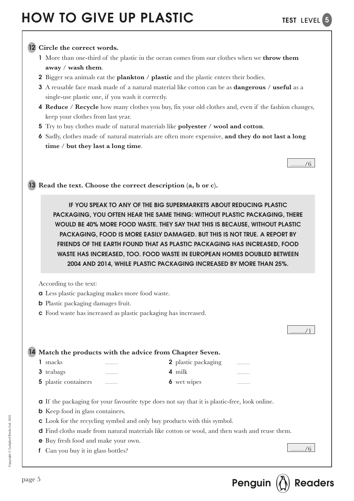### **Circle the correct words.** 12

- 1 More than one-third of the plastic in the ocean comes from our clothes when we **throw them away** / **wash them**.
- 2 Bigger sea animals eat the **plankton** / **plastic** and the plastic enters their bodies.
- 3 A reusable face mask made of a natural material like cotton can be as **dangerous** / **useful** as a single-use plastic one, if you wash it correctly.
- 4 **Reduce** / **Recycle** how many clothes you buy, fix your old clothes and, even if the fashion changes, keep your clothes from last year.
- 5 Try to buy clothes made of natural materials like **polyester** / **wool and cotton**.
- 6 Sadly, clothes made of natural materials are often more expensive, **and they do not last a long time** / **but they last a long time**.

/6

13 Read the text. Choose the correct description (a, b or c).

IF YOU SPEAK TO ANY OF THE BIG SUPERMARKETS ABOUT REDUCING PLASTIC PACKAGING, YOU OFTEN HEAR THE SAME THING: WITHOUT PLASTIC PACKAGING, THERE WOULD BE 40% MORE FOOD WASTE. THEY SAY THAT THIS IS BECAUSE, WITHOUT PLASTIC PACKAGING, FOOD IS MORE EASILY DAMAGED. BUT THIS IS NOT TRUE. A REPORT BY FRIENDS OF THE EARTH FOUND THAT AS PLASTIC PACKAGING HAS INCREASED, FOOD WASTE HAS INCREASED, TOO. FOOD WASTE IN EUROPEAN HOMES DOUBLED BETWEEN 2004 AND 2014, WHILE PLASTIC PACKAGING INCREASED BY MORE THAN 25%.

According to the text:

- a Less plastic packaging makes more food waste.
- b Plastic packaging damages fruit.
- c Food waste has increased as plastic packaging has increased.

|                  |                    | 14 Match the products with the advice from Chapter Seven. |             |  |
|------------------|--------------------|-----------------------------------------------------------|-------------|--|
| snacks           | <b>***********</b> | 2 plastic packaging                                       |             |  |
| <b>3</b> teabags | <b>***********</b> | 4 milk                                                    | ----------- |  |
|                  |                    |                                                           |             |  |

- a If the packaging for your favourite type does not say that it is plastic-free, look online.
- b Keep food in glass containers.
- c Look for the recycling symbol and only buy products with this symbol.
- d Find cloths made from natural materials like cotton or wool, and then wash and reuse them.
- e Buy fresh food and make your own.
- f Can you buy it in glass bottles?

/6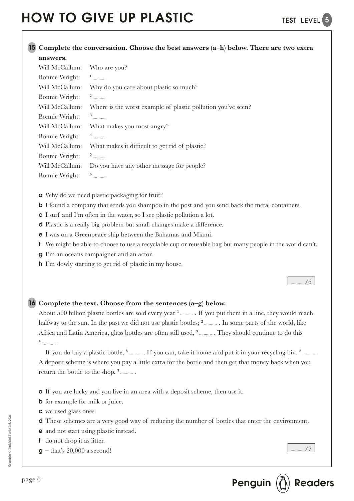#### **Complete the conversation. Choose the best answers (a–h) below. There are two extra**  15 **answers.**

| Will McCallum: | Who are you?                                                 |
|----------------|--------------------------------------------------------------|
| Bonnie Wright: | $\frac{1}{1}$                                                |
| Will McCallum: | Why do you care about plastic so much?                       |
| Bonnie Wright: | $\frac{2}{1}$                                                |
| Will McCallum: | Where is the worst example of plastic pollution you've seen? |
| Bonnie Wright: | $^3$                                                         |
| Will McCallum: | What makes you most angry?                                   |
| Bonnie Wright: | $4$                                                          |
| Will McCallum: | What makes it difficult to get rid of plastic?               |
| Bonnie Wright: | $5$                                                          |
| Will McCallum: | Do you have any other message for people?                    |
| Bonnie Wright: |                                                              |
|                |                                                              |

- a Why do we need plastic packaging for fruit?
- **b** I found a company that sends you shampoo in the post and you send back the metal containers.
- c I surf and I'm often in the water, so I see plastic pollution a lot.
- d Plastic is a really big problem but small changes make a difference.
- e I was on a Greenpeace ship between the Bahamas and Miami.
- f We might be able to choose to use a recyclable cup or reusable bag but many people in the world can't.
- g I'm an oceans campaigner and an actor.
- h I'm slowly starting to get rid of plastic in my house.

#### /6

### **Complete the text. Choose from the sentences (a–g) below.**  16

About 500 billion plastic bottles are sold every year <sup>1</sup>............. If you put them in a line, they would reach halfway to the sun. In the past we did not use plastic bottles; <sup>2</sup>............. In some parts of the world, like Africa and Latin America, glass bottles are often still used, <sup>3</sup>............. They should continue to do this **4**  .

If you do buy a plastic bottle, <sup>5</sup> ............. If you can, take it home and put it in your recycling bin. <sup>6</sup> ............ A deposit scheme is where you pay a little extra for the bottle and then get that money back when you return the bottle to the shop. **<sup>7</sup>** .

- a If you are lucky and you live in an area with a deposit scheme, then use it.
- **b** for example for milk or juice.
- c we used glass ones.
- d These schemes are a very good way of reducing the number of bottles that enter the environment.
- e and not start using plastic instead.
- f do not drop it as litter.
- $g$  that's 20,000 a second!

/7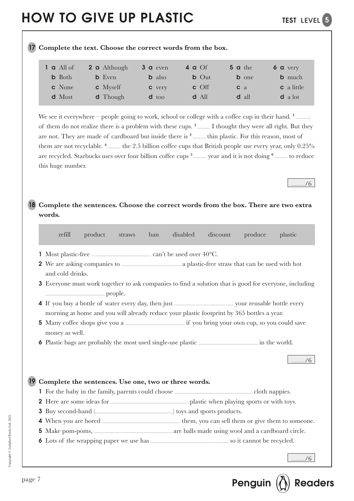**Complete the text. Choose the correct words from the box.** 17

/6

| $1$ a All of  | 2 a Although       | $3a$ even     | 4 a $Of$         | $5$ a the      | $6a$ very         |
|---------------|--------------------|---------------|------------------|----------------|-------------------|
| <b>b</b> Both | <b>b</b> Even      | <b>b</b> also | $b$ Out          | <b>b</b> one   | <b>b</b> much     |
| c None        | $\mathbf c$ Myself | <b>c</b> very | $\mathbf{c}$ Off | c <sub>a</sub> | <b>c</b> a little |
| d Most        | <b>d</b> Though    | $d$ too       | $d$ All          | <b>d</b> all   | $d$ a lot         |
|               |                    |               |                  |                |                   |

We see it everywhere – people going to work, school or college with a coffee cup in their hand. <sup>1</sup>............. of them do not realize there is a problem with these cups. <sup>2</sup> ........... I thought they were all right. But they are not. They are made of cardboard but inside there is <sup>3</sup><sub>there</sub> thin plastic. For this reason, most of them are not recyclable. <sup>4</sup><sub>the 2.5</sub> billion coffee cups that British people use every year, only 0.25% are recycled. Starbucks uses over four billion coffee cups<sup>5</sup><sub>to reduce</sub> vear and it is not doing <sup>6</sup><sub>to reduce</sub> to reduce this huge number.

**Complete the sentences. Choose the correct words from the box. There are two extra**  18 **words.**

|   | refill           | product | straws | ban | disabled                                             | discount                                                                                  | produce | plastic                                                                                                       |
|---|------------------|---------|--------|-----|------------------------------------------------------|-------------------------------------------------------------------------------------------|---------|---------------------------------------------------------------------------------------------------------------|
|   |                  |         |        |     |                                                      |                                                                                           |         |                                                                                                               |
|   | and cold drinks. |         |        |     |                                                      |                                                                                           |         |                                                                                                               |
|   |                  |         |        |     |                                                      |                                                                                           |         | <b>3</b> Everyone must work together to ask companies to find a solution that is good for everyone, including |
|   |                  |         |        |     |                                                      | morning at home and you will already reduce your plastic footprint by 365 bottles a year. |         |                                                                                                               |
|   | money as well.   |         |        |     |                                                      |                                                                                           |         |                                                                                                               |
|   |                  |         |        |     |                                                      |                                                                                           |         |                                                                                                               |
|   |                  |         |        |     | Complete the sentences. Use one, two or three words. |                                                                                           |         |                                                                                                               |
|   |                  |         |        |     |                                                      |                                                                                           |         |                                                                                                               |
|   |                  |         |        |     |                                                      |                                                                                           |         |                                                                                                               |
| 3 |                  |         |        |     |                                                      |                                                                                           |         |                                                                                                               |
| 4 |                  |         |        |     |                                                      |                                                                                           |         |                                                                                                               |
| 5 |                  |         |        |     |                                                      |                                                                                           |         |                                                                                                               |
|   |                  |         |        |     |                                                      |                                                                                           |         |                                                                                                               |
|   |                  |         |        |     |                                                      |                                                                                           |         |                                                                                                               |

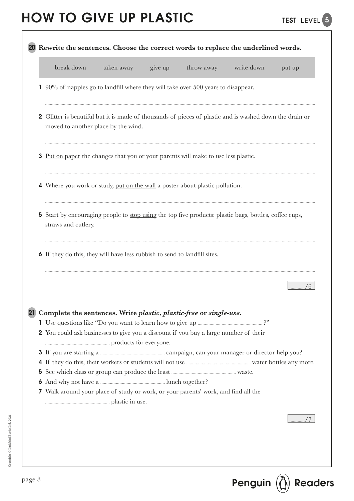|              | break down<br>throw away<br>write down<br>taken away<br>give up<br>put up                                                                                  |  |
|--------------|------------------------------------------------------------------------------------------------------------------------------------------------------------|--|
|              | $90\%$ of nappies go to landfill where they will take over 500 years to disappear.                                                                         |  |
|              | <b>2</b> Glitter is beautiful but it is made of thousands of pieces of plastic and is washed down the drain or<br>moved to another place by the wind.      |  |
| 3            | <u>Put on paper</u> the changes that you or your parents will make to use less plastic.                                                                    |  |
|              | 4 Where you work or study, put on the wall a poster about plastic pollution.                                                                               |  |
| $\mathbf{5}$ | Start by encouraging people to <u>stop using</u> the top five products: plastic bags, bottles, coffee cups,<br>straws and cutlery.                         |  |
|              | <b>6</b> If they do this, they will have less rubbish to send to landfill sites.                                                                           |  |
|              |                                                                                                                                                            |  |
|              |                                                                                                                                                            |  |
|              | Complete the sentences. Write plastic, plastic-free or single-use.<br>2 You could ask businesses to give you a discount if you buy a large number of their |  |
|              |                                                                                                                                                            |  |
| 5            | <b>7</b> Walk around your place of study or work, or your parents' work, and find all the                                                                  |  |

page 8 **Penguin**  $\left(\bigoplus_{\alpha=1}^{\infty}\right)$  **Readers**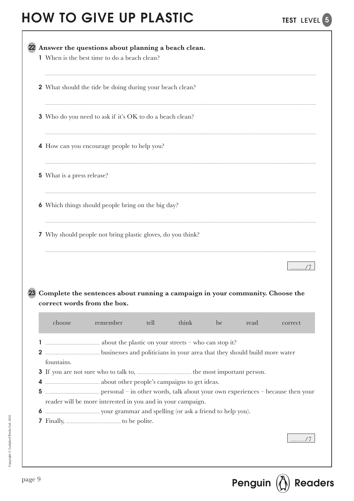|        | 1 When is the best time to do a beach clean? |                                                                                                              |      |       |    |      |         |
|--------|----------------------------------------------|--------------------------------------------------------------------------------------------------------------|------|-------|----|------|---------|
|        |                                              | <b>2</b> What should the tide be doing during your beach clean?                                              |      |       |    |      |         |
|        |                                              | 3 Who do you need to ask if it's OK to do a beach clean?                                                     |      |       |    |      |         |
|        |                                              | 4 How can you encourage people to help you?                                                                  |      |       |    |      |         |
|        | 5 What is a press release?                   |                                                                                                              |      |       |    |      |         |
|        |                                              | 6 Which things should people bring on the big day?                                                           |      |       |    |      |         |
|        |                                              | 7 Why should people not bring plastic gloves, do you think?                                                  |      |       |    |      |         |
|        |                                              |                                                                                                              |      |       |    |      |         |
|        |                                              | Complete the sentences about running a campaign in your community. Choose the<br>correct words from the box. |      |       |    |      |         |
|        | choose                                       | remember                                                                                                     | tell | think | be | read | correct |
| 2      |                                              |                                                                                                              |      |       |    |      |         |
| 4<br>5 | fountains.                                   |                                                                                                              |      |       |    |      |         |
| 6<br>7 |                                              | reader will be more interested in you and in your campaign.                                                  |      |       |    |      |         |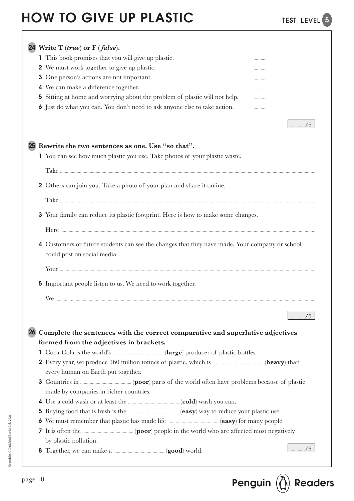|             | 24 Write T (true) or F (false).                                                                                               |                                                    |
|-------------|-------------------------------------------------------------------------------------------------------------------------------|----------------------------------------------------|
|             | 1 This book promises that you will give up plastic.                                                                           |                                                    |
|             | 2 We must work together to give up plastic.                                                                                   |                                                    |
|             | 3 One person's actions are not important.                                                                                     |                                                    |
|             | 4 We can make a difference together.                                                                                          |                                                    |
|             | 5 Sitting at home and worrying about the problem of plastic will not help.                                                    |                                                    |
|             | <b>6</b> Just do what you can. You don't need to ask anyone else to take action.                                              |                                                    |
|             |                                                                                                                               | /6                                                 |
|             | 25 Rewrite the two sentences as one. Use "so that".                                                                           |                                                    |
|             | 1 You can see how much plastic you use. Take photos of your plastic waste.                                                    |                                                    |
|             |                                                                                                                               |                                                    |
|             | <b>2</b> Others can join you. Take a photo of your plan and share it online.                                                  |                                                    |
|             |                                                                                                                               |                                                    |
|             | 3 Your family can reduce its plastic footprint. Here is how to make some changes.                                             |                                                    |
|             |                                                                                                                               |                                                    |
|             | 4 Customers or future students can see the changes that they have made. Your company or school<br>could post on social media. |                                                    |
|             |                                                                                                                               |                                                    |
|             | <b>5</b> Important people listen to us. We need to work together.                                                             |                                                    |
|             |                                                                                                                               |                                                    |
|             |                                                                                                                               | $\ldots \ldots \ldots \ldots \ldots \ldots \ldots$ |
|             | 26 Complete the sentences with the correct comparative and superlative adjectives                                             |                                                    |
|             | formed from the adjectives in brackets.                                                                                       |                                                    |
|             |                                                                                                                               |                                                    |
|             | every human on Earth put together.                                                                                            |                                                    |
|             |                                                                                                                               |                                                    |
|             | made by companies in richer countries.                                                                                        |                                                    |
|             |                                                                                                                               |                                                    |
|             |                                                                                                                               |                                                    |
| $5^{\circ}$ |                                                                                                                               |                                                    |
| $\bullet$   |                                                                                                                               |                                                    |
|             |                                                                                                                               |                                                    |
|             | by plastic pollution.                                                                                                         | $\frac{1}{2}$ /8                                   |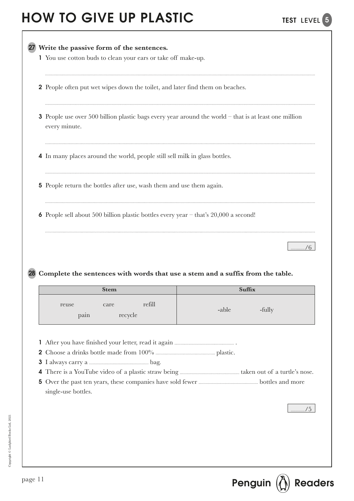| 1 You use cotton buds to clean your ears or take off make-up.                                                                   |       |        |  |  |  |
|---------------------------------------------------------------------------------------------------------------------------------|-------|--------|--|--|--|
| <b>2</b> People often put wet wipes down the toilet, and later find them on beaches.                                            |       |        |  |  |  |
| <b>3</b> People use over 500 billion plastic bags every year around the world $-$ that is at least one million<br>every minute. |       |        |  |  |  |
| 4 In many places around the world, people still sell milk in glass bottles.                                                     |       |        |  |  |  |
| <b>5</b> People return the bottles after use, wash them and use them again.                                                     |       |        |  |  |  |
|                                                                                                                                 |       |        |  |  |  |
| <b>6</b> People sell about 500 billion plastic bottles every year $-$ that's 20,000 a second!                                   |       |        |  |  |  |
| Complete the sentences with words that use a stem and a suffix from the table.                                                  |       |        |  |  |  |
| <b>Stem</b>                                                                                                                     |       | Suffix |  |  |  |
| refill<br>reuse<br>care<br>pain<br>recycle                                                                                      | -able | -fully |  |  |  |

TEST LEVEL<sup>5</sup>